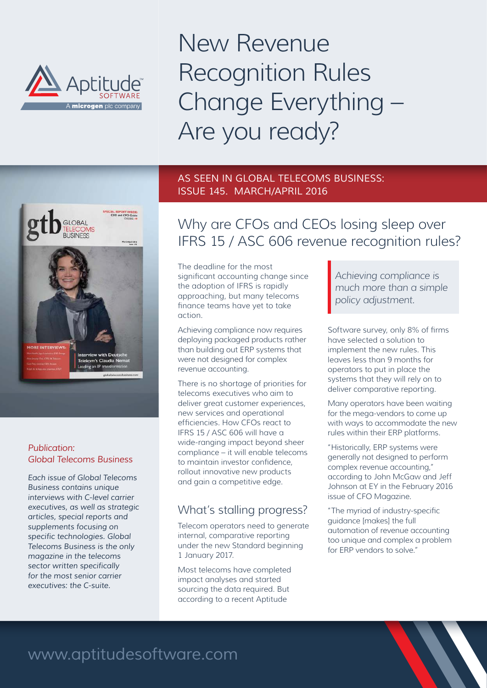

New Revenue Recognition Rules Change Everything – Are you ready?

### AS SEEN IN GLOBAL TELECOMS BUSINESS: ISSUE 145. MARCH/APRIL 2016



#### *Publication: Global Telecoms Business*

*Each issue of Global Telecoms Business contains unique interviews with C-level carrier executives, as well as strategic articles, special reports and supplements focusing on specific technologies. Global Telecoms Business is the only magazine in the telecoms sector written specifically for the most senior carrier executives: the C-suite.*

# Why are CFOs and CEOs losing sleep over IFRS 15 / ASC 606 revenue recognition rules?

The deadline for the most significant accounting change since the adoption of IFRS is rapidly approaching, but many telecoms finance teams have yet to take action.

Achieving compliance now requires deploying packaged products rather than building out ERP systems that were not designed for complex revenue accounting.

There is no shortage of priorities for telecoms executives who aim to deliver great customer experiences, new services and operational efficiencies. How CFOs react to IFRS 15 / ASC 606 will have a wide-ranging impact beyond sheer compliance – it will enable telecoms to maintain investor confidence, rollout innovative new products and gain a competitive edge.

# What's stalling progress?

Telecom operators need to generate internal, comparative reporting under the new Standard beginning 1 January 2017.

Most telecoms have completed impact analyses and started sourcing the data required. But according to a recent Aptitude

*Achieving compliance is much more than a simple policy adjustment.* 

Software survey, only 8% of firms have selected a solution to implement the new rules. This leaves less than 9 months for operators to put in place the systems that they will rely on to deliver comparative reporting.

Many operators have been waiting for the mega-vendors to come up with ways to accommodate the new rules within their ERP platforms.

"Historically, ERP systems were generally not designed to perform complex revenue accounting," according to John McGaw and Jeff Johnson at EY in the February 2016 issue of CFO Magazine.

"The myriad of industry-specific guidance [makes] the full automation of revenue accounting too unique and complex a problem for ERP vendors to solve."

# www.aptitudesoftware.com